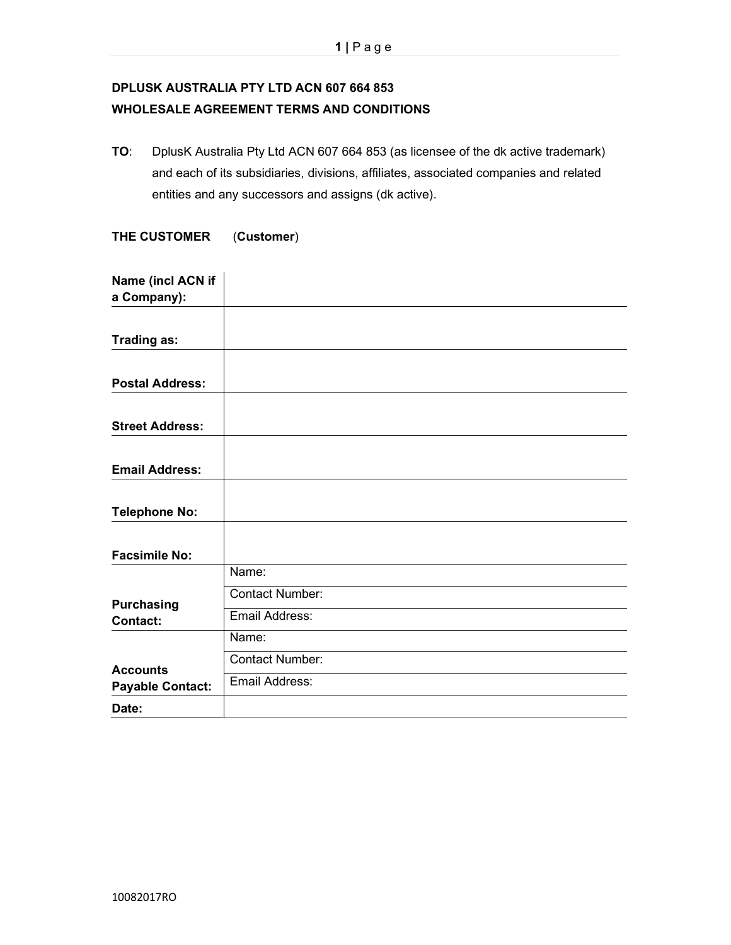# DPLUSK AUSTRALIA PTY LTD ACN 607 664 853 WHOLESALE AGREEMENT TERMS AND CONDITIONS

TO: DplusK Australia Pty Ltd ACN 607 664 853 (as licensee of the dk active trademark) and each of its subsidiaries, divisions, affiliates, associated companies and related entities and any successors and assigns (dk active).

## THE CUSTOMER (Customer)

| Name (incl ACN if<br>a Company):           |                        |
|--------------------------------------------|------------------------|
| Trading as:                                |                        |
| <b>Postal Address:</b>                     |                        |
| <b>Street Address:</b>                     |                        |
| <b>Email Address:</b>                      |                        |
| <b>Telephone No:</b>                       |                        |
| <b>Facsimile No:</b>                       |                        |
|                                            | Name:                  |
|                                            | <b>Contact Number:</b> |
| <b>Purchasing</b><br><b>Contact:</b>       | Email Address:         |
|                                            | Name:                  |
|                                            | <b>Contact Number:</b> |
| <b>Accounts</b><br><b>Payable Contact:</b> | Email Address:         |
| Date:                                      |                        |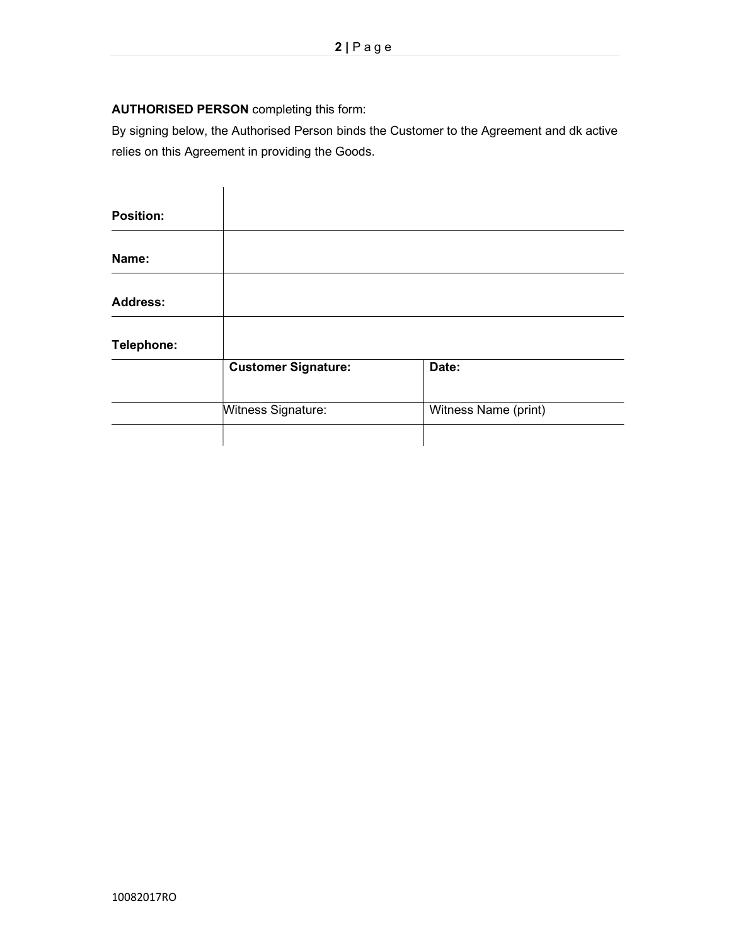## AUTHORISED PERSON completing this form:

By signing below, the Authorised Person binds the Customer to the Agreement and dk active relies on this Agreement in providing the Goods.

| <b>Position:</b> |                            |                      |  |
|------------------|----------------------------|----------------------|--|
| Name:            |                            |                      |  |
| <b>Address:</b>  |                            |                      |  |
| Telephone:       |                            |                      |  |
|                  | <b>Customer Signature:</b> | Date:                |  |
|                  | Witness Signature:         | Witness Name (print) |  |
|                  |                            |                      |  |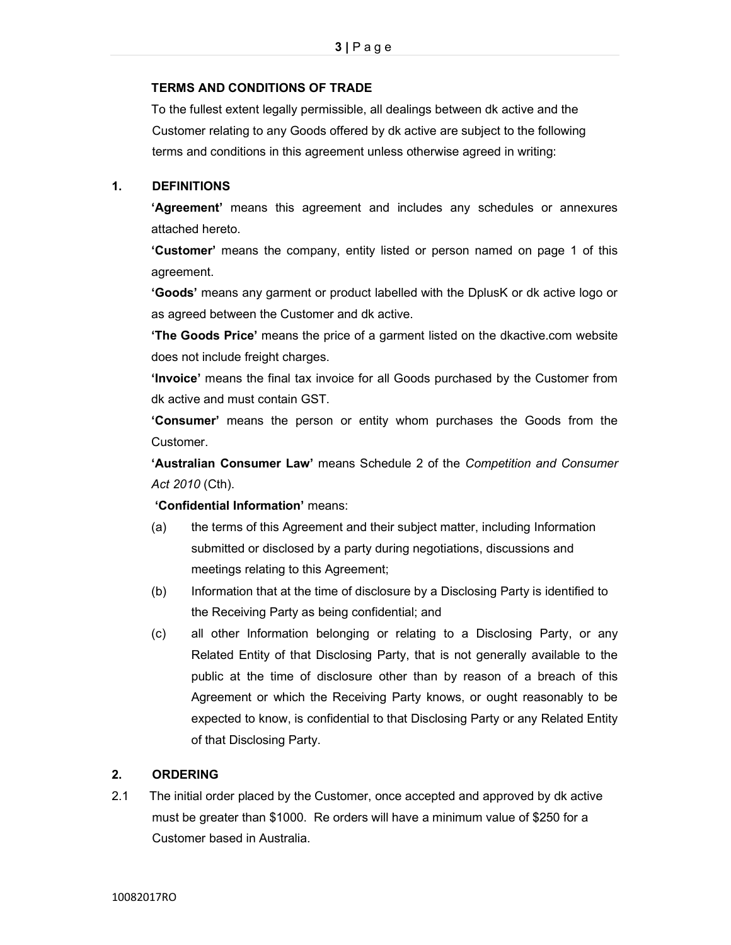#### TERMS AND CONDITIONS OF TRADE

To the fullest extent legally permissible, all dealings between dk active and the Customer relating to any Goods offered by dk active are subject to the following terms and conditions in this agreement unless otherwise agreed in writing:

#### 1. DEFINITIONS

'Agreement' means this agreement and includes any schedules or annexures attached hereto.

'Customer' means the company, entity listed or person named on page 1 of this agreement.

'Goods' means any garment or product labelled with the DplusK or dk active logo or as agreed between the Customer and dk active.

'The Goods Price' means the price of a garment listed on the dkactive.com website does not include freight charges.

'Invoice' means the final tax invoice for all Goods purchased by the Customer from dk active and must contain GST.

'Consumer' means the person or entity whom purchases the Goods from the Customer.

'Australian Consumer Law' means Schedule 2 of the Competition and Consumer Act 2010 (Cth).

#### 'Confidential Information' means:

- (a) the terms of this Agreement and their subject matter, including Information submitted or disclosed by a party during negotiations, discussions and meetings relating to this Agreement;
- (b) Information that at the time of disclosure by a Disclosing Party is identified to the Receiving Party as being confidential; and
- (c) all other Information belonging or relating to a Disclosing Party, or any Related Entity of that Disclosing Party, that is not generally available to the public at the time of disclosure other than by reason of a breach of this Agreement or which the Receiving Party knows, or ought reasonably to be expected to know, is confidential to that Disclosing Party or any Related Entity of that Disclosing Party.

#### 2. ORDERING

2.1 The initial order placed by the Customer, once accepted and approved by dk active must be greater than \$1000. Re orders will have a minimum value of \$250 for a Customer based in Australia.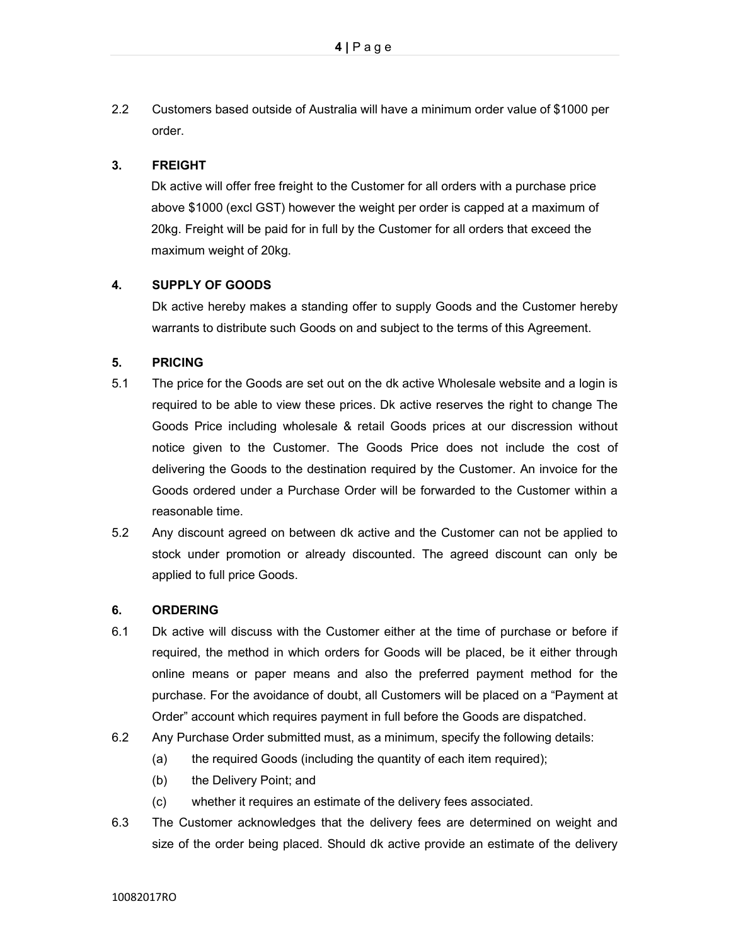2.2 Customers based outside of Australia will have a minimum order value of \$1000 per order.

## 3. FREIGHT

Dk active will offer free freight to the Customer for all orders with a purchase price above \$1000 (excl GST) however the weight per order is capped at a maximum of 20kg. Freight will be paid for in full by the Customer for all orders that exceed the maximum weight of 20kg.

## 4. SUPPLY OF GOODS

Dk active hereby makes a standing offer to supply Goods and the Customer hereby warrants to distribute such Goods on and subject to the terms of this Agreement.

## 5. PRICING

- 5.1 The price for the Goods are set out on the dk active Wholesale website and a login is required to be able to view these prices. Dk active reserves the right to change The Goods Price including wholesale & retail Goods prices at our discression without notice given to the Customer. The Goods Price does not include the cost of delivering the Goods to the destination required by the Customer. An invoice for the Goods ordered under a Purchase Order will be forwarded to the Customer within a reasonable time.
- 5.2 Any discount agreed on between dk active and the Customer can not be applied to stock under promotion or already discounted. The agreed discount can only be applied to full price Goods.

## 6. ORDERING

- 6.1 Dk active will discuss with the Customer either at the time of purchase or before if required, the method in which orders for Goods will be placed, be it either through online means or paper means and also the preferred payment method for the purchase. For the avoidance of doubt, all Customers will be placed on a "Payment at Order" account which requires payment in full before the Goods are dispatched.
- 6.2 Any Purchase Order submitted must, as a minimum, specify the following details:
	- (a) the required Goods (including the quantity of each item required);
	- (b) the Delivery Point; and
	- (c) whether it requires an estimate of the delivery fees associated.
- 6.3 The Customer acknowledges that the delivery fees are determined on weight and size of the order being placed. Should dk active provide an estimate of the delivery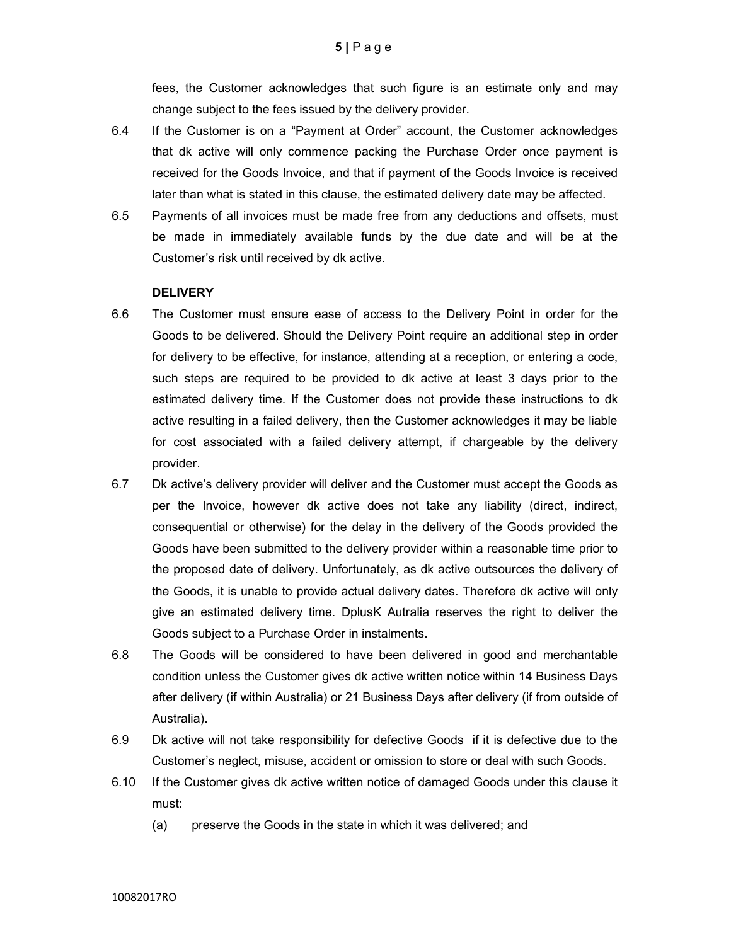fees, the Customer acknowledges that such figure is an estimate only and may change subject to the fees issued by the delivery provider.

- 6.4 If the Customer is on a "Payment at Order" account, the Customer acknowledges that dk active will only commence packing the Purchase Order once payment is received for the Goods Invoice, and that if payment of the Goods Invoice is received later than what is stated in this clause, the estimated delivery date may be affected.
- 6.5 Payments of all invoices must be made free from any deductions and offsets, must be made in immediately available funds by the due date and will be at the Customer's risk until received by dk active.

#### **DELIVERY**

- 6.6 The Customer must ensure ease of access to the Delivery Point in order for the Goods to be delivered. Should the Delivery Point require an additional step in order for delivery to be effective, for instance, attending at a reception, or entering a code, such steps are required to be provided to dk active at least 3 days prior to the estimated delivery time. If the Customer does not provide these instructions to dk active resulting in a failed delivery, then the Customer acknowledges it may be liable for cost associated with a failed delivery attempt, if chargeable by the delivery provider.
- 6.7 Dk active's delivery provider will deliver and the Customer must accept the Goods as per the Invoice, however dk active does not take any liability (direct, indirect, consequential or otherwise) for the delay in the delivery of the Goods provided the Goods have been submitted to the delivery provider within a reasonable time prior to the proposed date of delivery. Unfortunately, as dk active outsources the delivery of the Goods, it is unable to provide actual delivery dates. Therefore dk active will only give an estimated delivery time. DplusK Autralia reserves the right to deliver the Goods subject to a Purchase Order in instalments.
- 6.8 The Goods will be considered to have been delivered in good and merchantable condition unless the Customer gives dk active written notice within 14 Business Days after delivery (if within Australia) or 21 Business Days after delivery (if from outside of Australia).
- 6.9 Dk active will not take responsibility for defective Goods if it is defective due to the Customer's neglect, misuse, accident or omission to store or deal with such Goods.
- 6.10 If the Customer gives dk active written notice of damaged Goods under this clause it must:
	- (a) preserve the Goods in the state in which it was delivered; and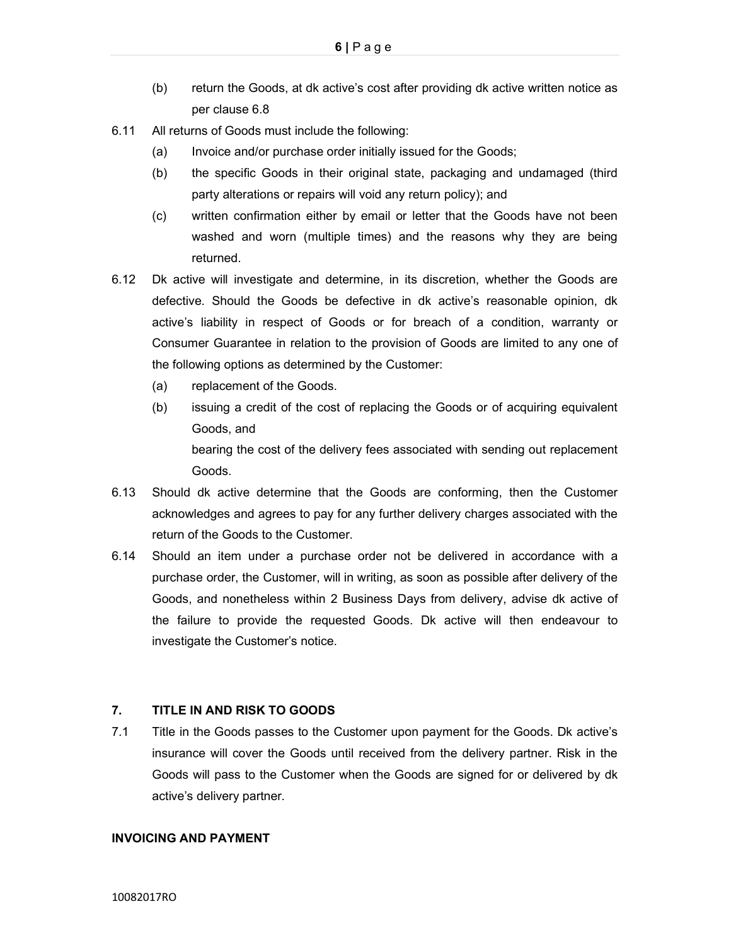- (b) return the Goods, at dk active's cost after providing dk active written notice as per clause 6.8
- 6.11 All returns of Goods must include the following:
	- (a) Invoice and/or purchase order initially issued for the Goods;
	- (b) the specific Goods in their original state, packaging and undamaged (third party alterations or repairs will void any return policy); and
	- (c) written confirmation either by email or letter that the Goods have not been washed and worn (multiple times) and the reasons why they are being returned.
- 6.12 Dk active will investigate and determine, in its discretion, whether the Goods are defective. Should the Goods be defective in dk active's reasonable opinion, dk active's liability in respect of Goods or for breach of a condition, warranty or Consumer Guarantee in relation to the provision of Goods are limited to any one of the following options as determined by the Customer:
	- (a) replacement of the Goods.
	- (b) issuing a credit of the cost of replacing the Goods or of acquiring equivalent Goods, and bearing the cost of the delivery fees associated with sending out replacement Goods.
- 6.13 Should dk active determine that the Goods are conforming, then the Customer acknowledges and agrees to pay for any further delivery charges associated with the return of the Goods to the Customer.
- 6.14 Should an item under a purchase order not be delivered in accordance with a purchase order, the Customer, will in writing, as soon as possible after delivery of the Goods, and nonetheless within 2 Business Days from delivery, advise dk active of the failure to provide the requested Goods. Dk active will then endeavour to investigate the Customer's notice.

## 7. TITLE IN AND RISK TO GOODS

7.1 Title in the Goods passes to the Customer upon payment for the Goods. Dk active's insurance will cover the Goods until received from the delivery partner. Risk in the Goods will pass to the Customer when the Goods are signed for or delivered by dk active's delivery partner.

#### INVOICING AND PAYMENT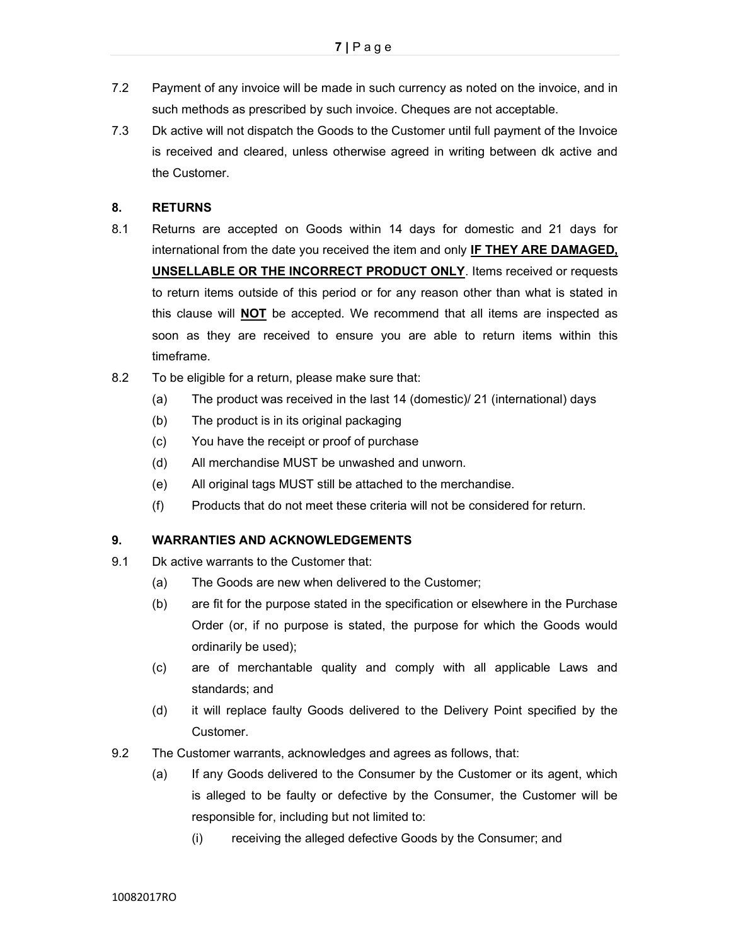- 7.2 Payment of any invoice will be made in such currency as noted on the invoice, and in such methods as prescribed by such invoice. Cheques are not acceptable.
- 7.3 Dk active will not dispatch the Goods to the Customer until full payment of the Invoice is received and cleared, unless otherwise agreed in writing between dk active and the Customer.

## 8. RETURNS

- 8.1 Returns are accepted on Goods within 14 days for domestic and 21 days for international from the date you received the item and only **IF THEY ARE DAMAGED,** UNSELLABLE OR THE INCORRECT PRODUCT ONLY. Items received or requests to return items outside of this period or for any reason other than what is stated in this clause will NOT be accepted. We recommend that all items are inspected as soon as they are received to ensure you are able to return items within this timeframe.
- 8.2 To be eligible for a return, please make sure that:
	- (a) The product was received in the last 14 (domestic)/ 21 (international) days
	- (b) The product is in its original packaging
	- (c) You have the receipt or proof of purchase
	- (d) All merchandise MUST be unwashed and unworn.
	- (e) All original tags MUST still be attached to the merchandise.
	- (f) Products that do not meet these criteria will not be considered for return.

## 9. WARRANTIES AND ACKNOWLEDGEMENTS

- 9.1 Dk active warrants to the Customer that:
	- (a) The Goods are new when delivered to the Customer;
	- (b) are fit for the purpose stated in the specification or elsewhere in the Purchase Order (or, if no purpose is stated, the purpose for which the Goods would ordinarily be used);
	- (c) are of merchantable quality and comply with all applicable Laws and standards; and
	- (d) it will replace faulty Goods delivered to the Delivery Point specified by the Customer.
- 9.2 The Customer warrants, acknowledges and agrees as follows, that:
	- (a) If any Goods delivered to the Consumer by the Customer or its agent, which is alleged to be faulty or defective by the Consumer, the Customer will be responsible for, including but not limited to:
		- (i) receiving the alleged defective Goods by the Consumer; and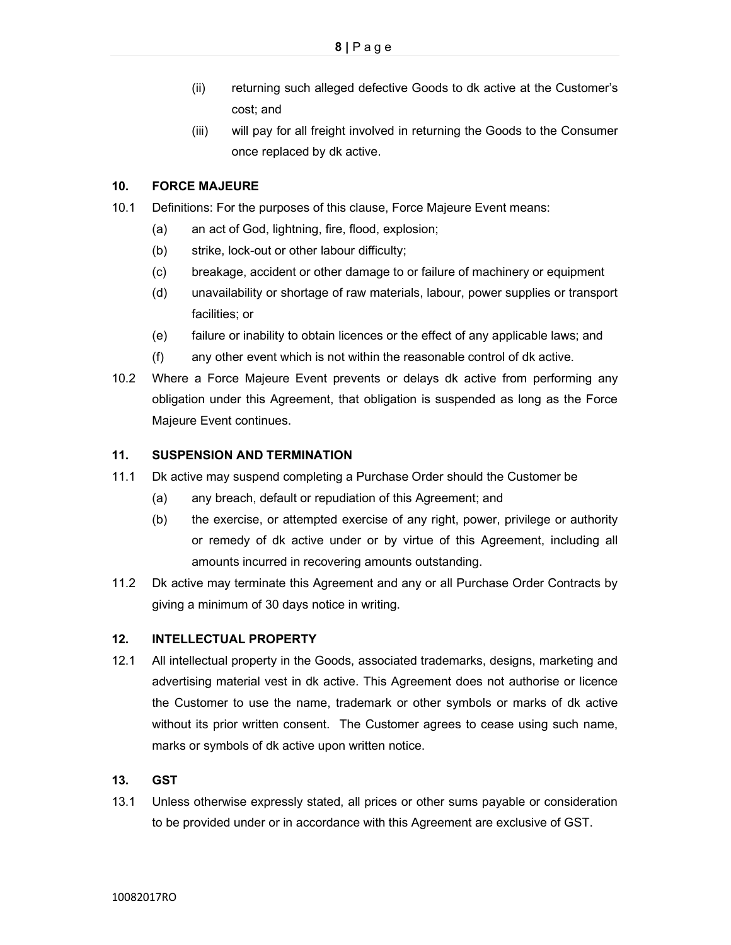- (ii) returning such alleged defective Goods to dk active at the Customer's cost; and
- (iii) will pay for all freight involved in returning the Goods to the Consumer once replaced by dk active.

## 10. FORCE MAJEURE

- 10.1 Definitions: For the purposes of this clause, Force Majeure Event means:
	- (a) an act of God, lightning, fire, flood, explosion;
	- (b) strike, lock-out or other labour difficulty;
	- (c) breakage, accident or other damage to or failure of machinery or equipment
	- (d) unavailability or shortage of raw materials, labour, power supplies or transport facilities; or
	- (e) failure or inability to obtain licences or the effect of any applicable laws; and
	- (f) any other event which is not within the reasonable control of dk active.
- 10.2 Where a Force Majeure Event prevents or delays dk active from performing any obligation under this Agreement, that obligation is suspended as long as the Force Majeure Event continues.

#### 11. SUSPENSION AND TERMINATION

- 11.1 Dk active may suspend completing a Purchase Order should the Customer be
	- (a) any breach, default or repudiation of this Agreement; and
	- (b) the exercise, or attempted exercise of any right, power, privilege or authority or remedy of dk active under or by virtue of this Agreement, including all amounts incurred in recovering amounts outstanding.
- 11.2 Dk active may terminate this Agreement and any or all Purchase Order Contracts by giving a minimum of 30 days notice in writing.

#### 12. INTELLECTUAL PROPERTY

12.1 All intellectual property in the Goods, associated trademarks, designs, marketing and advertising material vest in dk active. This Agreement does not authorise or licence the Customer to use the name, trademark or other symbols or marks of dk active without its prior written consent. The Customer agrees to cease using such name, marks or symbols of dk active upon written notice.

## 13. GST

13.1 Unless otherwise expressly stated, all prices or other sums payable or consideration to be provided under or in accordance with this Agreement are exclusive of GST.